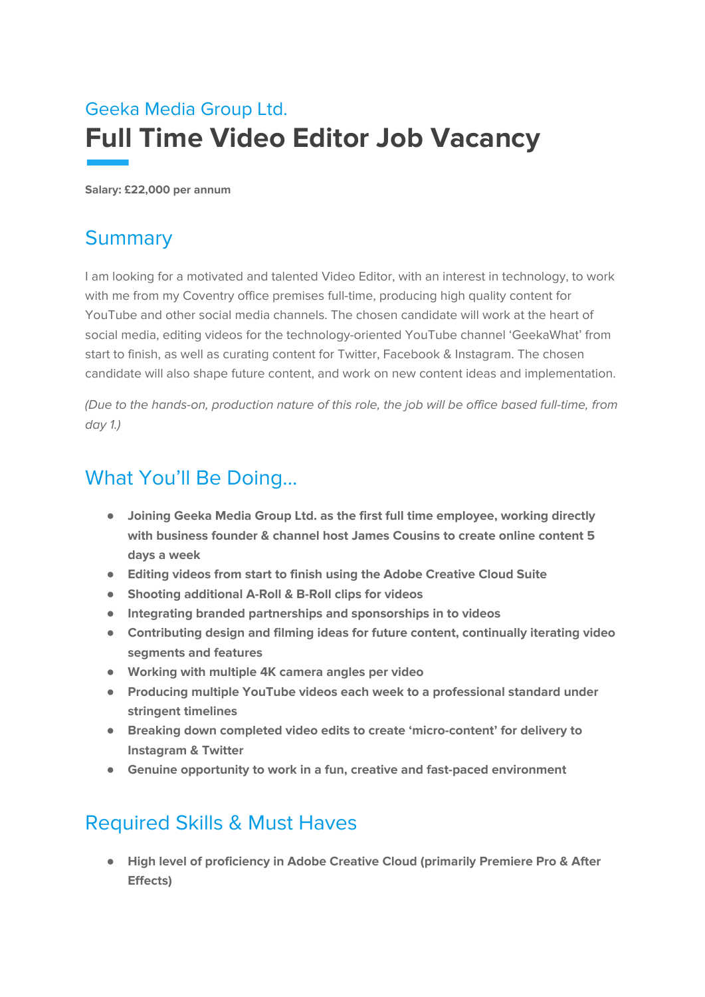# Geeka Media Group Ltd. **Full Time Video Editor Job Vacancy**

**Salary: £22,000 per annum**

#### **Summary**

I am looking for a motivated and talented Video Editor, with an interest in technology, to work with me from my Coventry office premises full-time, producing high quality content for YouTube and other social media channels. The chosen candidate will work at the heart of social media, editing videos for the technology-oriented YouTube channel 'GeekaWhat' from start to finish, as well as curating content for Twitter, Facebook & Instagram. The chosen candidate will also shape future content, and work on new content ideas and implementation.

(Due to the hands-on, production nature of this role, the job will be office based full-time, from day 1.)

#### What You'll Be Doing...

- **● Joining Geeka Media Group Ltd. as the first full time employee, working directly with business founder & channel host James Cousins to create online content 5 days a week**
- **● Editing videos from start to finish using the Adobe Creative Cloud Suite**
- **● Shooting additional A-Roll & B-Roll clips for videos**
- **● Integrating branded partnerships and sponsorships in to videos**
- **● Contributing design and filming ideas for future content, continually iterating video segments and features**
- **● Working with multiple 4K camera angles per video**
- **● Producing multiple YouTube videos each week to a professional standard under stringent timelines**
- **● Breaking down completed video edits to create 'micro-content' for delivery to Instagram & Twitter**
- **● Genuine opportunity to work in a fun, creative and fast-paced environment**

## Required Skills & Must Haves

**● High level of proficiency in Adobe Creative Cloud (primarily Premiere Pro & After Effects)**